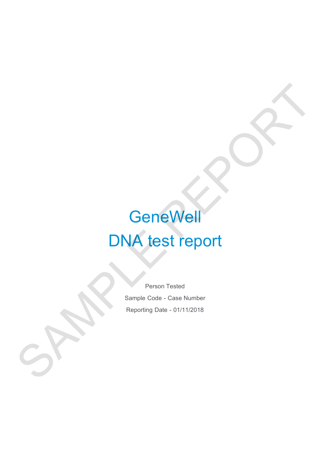# **GeneWell** DNA test report GeneWell<br>DNA test report<br>Reporting Date - 01/11/2018

Person Tested Sample Code - Case Number Reporting Date - 01/11/2018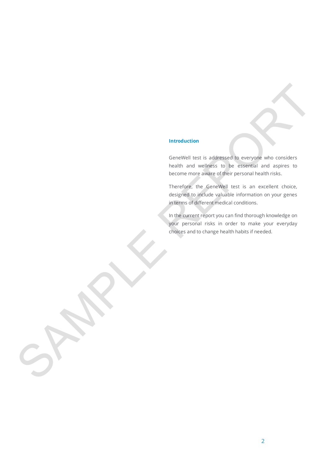#### **Introduction**

GeneWell test is addressed to everyone who considers health and wellness to be essential and aspires to become more aware of their personal health risks. Introduction<br>
Cerce/Vell Inst is addressed in compass who considered<br>
Neath and wrights to the ensemble and actual considerations<br>
Therefore, the generalize and the consideration of your general<br>
order person of these spec

Therefore, the GeneWell test is an excellent choice, designed to include valuable information on your genes in terms of different medical conditions.

In the current report you can find thorough knowledge on your personal risks in order to make your everyday choices and to change health habits if needed.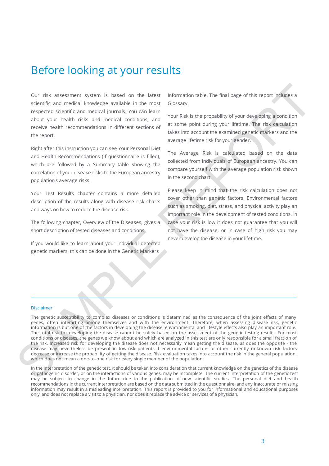## Before looking at your results

Our risk assessment system is based on the latest scientific and medical knowledge available in the most respected scientific and medical journals. You can learn about your health risks and medical conditions, and receive health recommendations in different sections of the report.

Right after this instruction you can see Your Personal Diet and Health Recommendations (if questionnaire is filled), which are followed by a Summary table showing the correlation of your disease risks to the European ancestry population's average risks.

Your Test Results chapter contains a more detailed description of the results along with disease risk charts and ways on how to reduce the disease risk.

The following chapter, Overview of the Diseases, gives a short description of tested diseases and conditions.

If you would like to learn about your individual detected genetic markers, this can be done in the Genetic Markers

Information table. The final page of this report includes a Glossary.

Your Risk is the probability of your developing a condition at some point during your lifetime. The risk calculation takes into account the examined genetic markers and the average lifetime risk for your gender.

The Average Risk is calculated based on the data collected from individuals of European ancestry. You can compare yourself with the average population risk shown in the second chart.

Please keep in mind that the risk calculation does not cover other than genetic factors. Environmental factors such as smoking, diet, stress, and physical activity play an important role in the development of tested conditions. In case your risk is low it does not guarantee that you will not have the disease, or in case of high risk you may never develop the disease in your lifetime.

#### Disclaimer

The genetic susceptibility to complex diseases or conditions is determined as the consequence of the joint effects of many genes, often interacting among themselves and with the environment. Therefore, when assessing disease risk, genetic information is but one of the factors in developing the disease; environmental and lifestyle effects also play an important role. The total risk for developing the disease cannot be solely based on the assessment of the genetic testing results. For most conditions or diseases, the genes we know about and which are analyzed in this test are only responsible for a small fraction of the risk. Increased risk for developing the disease does not necessarily mean getting the disease, as does the opposite - the disease may nevertheless be present in low-risk patients if environmental factors or other currently unknown risk factors decrease or increase the probability of getting the disease. Risk evaluation takes into account the risk in the general population, which does not mean a one-to-one risk for every single member of the population. Our risk assessment system is based on the latest information table. The final page of this report induces a decision constrained an internal material and medicial constrained and medicial conduction. The probability of y

In the interpretation of the genetic test, it should be taken into consideration that current knowledge on the genetics of the disease or pathogenic disorder, or on the interactions of various genes, may be incomplete. The current interpretation of the genetic test may be subject to change in the future due to the publication of new scientific studies. The personal diet and health recommendations in the current interpretation are based on the data submitted in the questionnaire, and any inaccurate or missing information may result in a misleading interpretation. This report is provided to you for informational and educational purposes only, and does not replace a visit to a physician, nor does it replace the advice or services of a physician.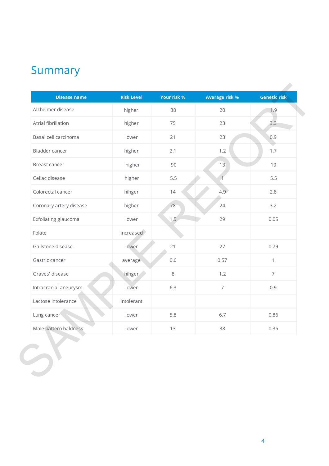# Summary

| <b>Disease name</b>     | <b>Risk Level</b> | Your risk % | <b>Average risk %</b> | <b>Genetic risk</b> |
|-------------------------|-------------------|-------------|-----------------------|---------------------|
| Alzheimer disease       | higher            | 38          | 20                    | 1.9                 |
| Atrial fibrillation     | higher            | 75          | 23                    | 3.3                 |
| Basal cell carcinoma    | lower             | 21          | 23                    | 0.9                 |
| Bladder cancer          | higher            | 2.1         | 1.2                   | 1.7                 |
| Breast cancer           | higher            | 90          | 13                    | 10                  |
| Celiac disease          | higher            | 5.5         | $\overline{1}$        | 5.5                 |
| Colorectal cancer       | hihger            | 14          | 4.9                   | 2.8                 |
| Coronary artery disease | higher            | 78          | 24                    | 3.2                 |
| Exfoliating glaucoma    | lower             | 1.5         | 29                    | 0.05                |
| Folate                  | increased         |             |                       |                     |
| Gallstone disease       | lower             | 21          | 27                    | 0.79                |
| Gastric cancer          | average           | 0.6         | 0.57                  | $\mathbf{1}$        |
| Graves' disease         | hihger            | $\,8\,$     | 1.2                   | $\overline{7}$      |
| Intracranial aneurysm   | lower             | 6.3         | $\overline{7}$        | 0.9                 |
| Lactose intolerance     | intolerant        |             |                       |                     |
| Lung cancer             | lower             | 5.8         | 6.7                   | 0.86                |
| Male pattern baldness   | lower             | 13          | 38                    | 0.35                |
|                         |                   |             |                       |                     |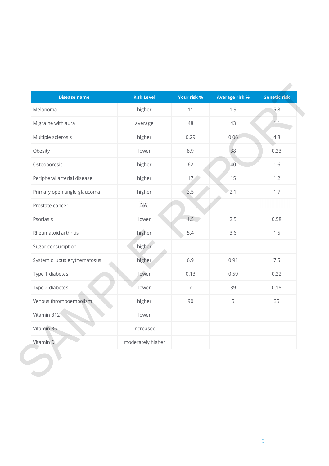| <b>Disease name</b>          | <b>Risk Level</b> | Your risk %     | <b>Average risk %</b> | <b>Genetic risk</b> |
|------------------------------|-------------------|-----------------|-----------------------|---------------------|
| Melanoma                     | higher            | 11              | 1.9                   | 5.8                 |
| Migraine with aura           | average           | 48              | 43                    | 1.1                 |
| Multiple sclerosis           | higher            | 0.29            | 0.06                  | 4.8                 |
| Obesity                      | lower             | 8.9             | 38                    | 0.23                |
| Osteoporosis                 | higher            | 62              | 40                    | 1.6                 |
| Peripheral arterial disease  | higher            | 17 <sub>1</sub> | 15                    | 1.2                 |
| Primary open angle glaucoma  | higher            | 3.5             | 2.1                   | 1.7                 |
| Prostate cancer              | <b>NA</b>         |                 |                       |                     |
| Psoriasis                    | lower             | 1.5             | 2.5                   | 0.58                |
| Rheumatoid arthritis         | higher            | 5.4             | 3.6                   | 1.5                 |
| Sugar consumption            | higher            |                 |                       |                     |
| Systemic lupus erythematosus | higher            | 6.9             | 0.91                  | 7.5                 |
| Type 1 diabetes              | lower             | 0.13            | 0.59                  | 0.22                |
| Type 2 diabetes              | lower             | $\overline{7}$  | 39                    | 0.18                |
| Venous thromboembolism       | higher            | 90              | 5                     | 35                  |
| Vitamin B12                  | lower             |                 |                       |                     |
| Vitamin B6                   | increased         |                 |                       |                     |
| Vitamin D                    | moderately higher |                 |                       |                     |
|                              |                   |                 |                       |                     |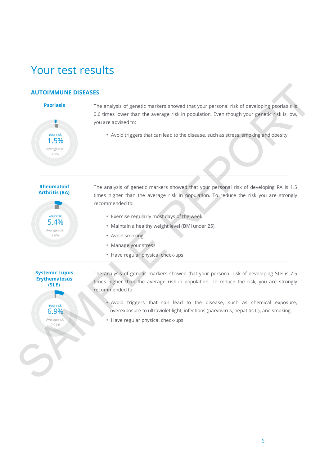# Your test results

### **AUTOIMMUNE DISEASES**



**Psoriasis** The analysis of genetic markers showed that your personal risk of developing psoriasis is 0.6 times lower than the average risk in population. Even though your genetic risk is low, you are advised to:

Your risk:  $\setminus$  **•** Avoid triggers that can lead to the disease, such as stress, smoking and obesity

#### **Rheumatoid Arthritis (RA)**



The analysis of genetic markers showed that your personal risk of developing RA is 1.5 times higher than the average risk in population. To reduce the risk you are strongly recommended to: **AUTOIMMUNE DISEASES**<br> **SCIENCES**<br> **SCIENCES**<br> **SCIENCES**<br> **SCIENCES**<br> **SCIENCES**<br> **SCIENCES**<br> **SCIENCES**<br> **SCIENCES**<br> **SCIENCES**<br> **SCIENCES**<br> **SCIENCES**<br> **SCIENCES**<br> **SCIENCES**<br> **SCIENCES**<br> **SCIENCES**<br> **SCIENCES**<br> **SCIEN** 

- Exercise regularly most days of the week
- Maintain a healthy weight level (BMI under 25)
- Avoid smoking
- Manage your stress
- Have regular physical check-ups

## **Systemic Lupus Erythematosus (SLE)**

The analysis of genetic markers showed that your personal risk of developing SLE is 7.5 times higher than the average risk in population. To reduce the risk, you are strongly recommended to:

- Avoid triggers that can lead to the disease, such as chemical exposure, overexposure to ultraviolet light, infections (parvovirus, hepatitis C), and smoking
- Have regular physical check-ups

# 6.9% Your risk:

Average risk: 0.91%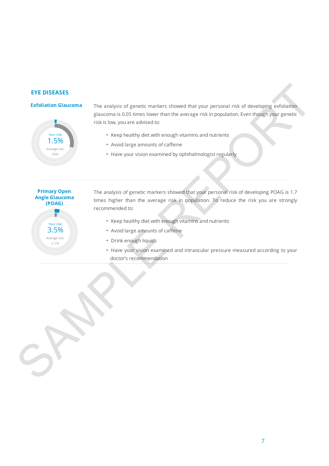#### **EYE DISEASES**

#### **Exfoliation Glaucoma**



The analysis of genetic markers showed that your personal risk of developing exfoliation glaucoma is 0.05 times lower than the average risk in population. Even though your genetic risk is low, you are advised to:

- Keep healthy diet with enough vitamins and nutrients
- Avoid large amounts of caffeine
- Have your vision examined by ophthalmologist regularly

**Primary Open Angle Glaucoma (POAG)** Your risk: 3.5% Average risk: 2.1%

- The analysis of genetic markers showed that your personal risk of developing POAG is 1.7 times higher than the average risk in population. To reduce the risk you are strongly recommended to: EVE DISEASES<br>
Extendibution dialectors = The analysis of generic markers showed that your personal risk of developing existings<br>
glacence is 0.55 sms lower than the average risk in population. Even the ogety your general<br>
	- Keep healthy diet with enough vitamins and nutrients
	- Avoid large amounts of caffeine
	- Drink enough liquids
	- Have your vision examined and intraocular pressure measured according to your doctor's recommendation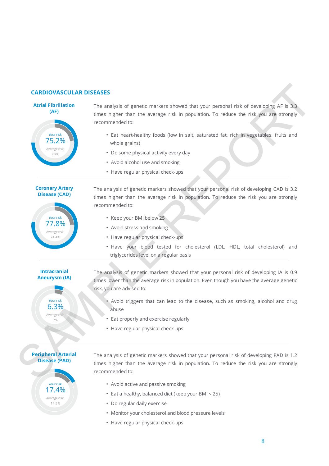#### **CARDIOVASCULAR DISEASES**



The analysis of genetic markers showed that your personal risk of developing AF is 3.3 times higher than the average risk in population. To reduce the risk you are strongly recommended to:

- Eat heart-healthy foods (low in salt, saturated fat, rich in vegetables, fruits and whole grains)
- Do some physical activity every day
- Avoid alcohol use and smoking
- Have regular physical check-ups

#### **Coronary Artery Disease (CAD)**



The analysis of genetic markers showed that your personal risk of developing CAD is 3.2 times higher than the average risk in population. To reduce the risk you are strongly recommended to: CARDIOVASCULAR DISEASES<br>
Artist Platfillation<br>
The analysis of genetic markers showed that your personal risk of developing AR is 3.3<br>
second the artist properties than the exerge risk in population. To reduce the risk yo

- Keep your BMI below 25
- Avoid stress and smoking
- Have regular physical check-ups
- Have your blood tested for cholesterol (LDL, HDL, total cholesterol) and triglycerides level on a regular basis

#### **Intracranial Aneurysm (IA)**

6.3% Average risk: 7%

Your risk:

The analysis of genetic markers showed that your personal risk of developing IA is 0.9 times lower than the average risk in population. Even though you have the average genetic risk, you are advised to:

- Avoid triggers that can lead to the disease, such as smoking, alcohol and drug abuse
- Eat properly and exercise regularly
- Have regular physical check-ups



The analysis of genetic markers showed that your personal risk of developing PAD is 1.2 times higher than the average risk in population. To reduce the risk you are strongly recommended to:

- Avoid active and passive smoking
- Eat a healthy, balanced diet (keep your BMI < 25)
- Do regular daily exercise
- Monitor your cholesterol and blood pressure levels
- Have regular physical check-ups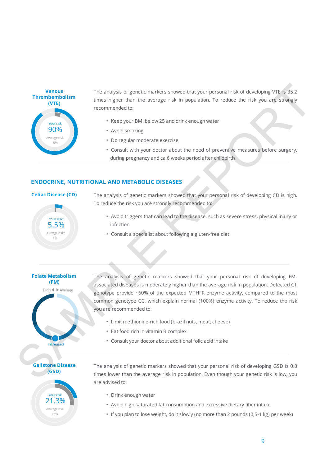

The analysis of genetic markers showed that your personal risk of developing VTE is 35.2 times higher than the average risk in population. To reduce the risk you are strongly recommended to:

- Keep your BMI below 25 and drink enough water
- Avoid smoking
- Do regular moderate exercise
- Consult with your doctor about the need of preventive measures before surgery, during pregnancy and ca 6 weeks period after childbirth

#### **ENDOCRINE, NUTRITIONAL AND METABOLIC DISEASES**

#### **Celiac Disease (CD)**



The analysis of genetic markers showed that your personal risk of developing CD is high. To reduce the risk you are strongly recommended to:

- Avoid triggers that can lead to the disease, such as severe stress, physical injury or infection
- Consult a specialist about following a gluten-free diet



The analysis of genetic markers showed that your personal risk of developing FMassociated diseases is moderately higher than the average risk in population. Detected CT genotype provide ~60% of the expected MTHFR enzyme activity, compared to the most common genotype CC, which explain normal (100%) enzyme activity. To reduce the risk you are recommended to: Thromhomistism<br>
The analysis of genetic markers showed that your personal risk of developing VTE is 32.2<br>
Thromhomistics are ingere than the sweeps risk in population. To reduce the risk you are strongly<br>  $\begin{array}{r}\n\text{Example 23$ 

- Limit methionine-rich food (brazil nuts, meat, cheese)
- Eat food rich in vitamin B complex
- Consult your doctor about additional folic acid intake

**Gallstone Disease (GSD)**



The analysis of genetic markers showed that your personal risk of developing GSD is 0.8 times lower than the average risk in population. Even though your genetic risk is low, you are advised to:

- Drink enough water
- Avoid high saturated fat consumption and excessive dietary fiber intake
- If you plan to lose weight, do it slowly (no more than 2 pounds (0,5-1 kg) per week)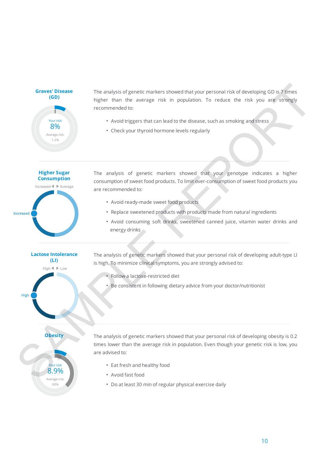**Graves' Disease (GD)** Your risk: Average risk: 1.2% 8%

**Higher Sugar Consumption**

**Lactose Intolerance (LI)**

The analysis of genetic markers showed that your personal risk of developing GD is 7 times higher than the average risk in population. To reduce the risk you are strongly recommended to:

- Avoid triggers that can lead to the disease, such as smoking and stress
- Check your thyroid hormone levels regularly

The analysis of genetic markers showed that your genotype indicates a higher consumption of sweet food products. To limit over-consumption of sweet food products you are recommended to: Graves' Disease<br>
(GR) mean anysis of generic markers showed that you personal risk of developing CD is a finite series the properties are version in the overage instead to the disease, such as simpleges and series of the s

- Avoid ready-made sweet food products
- Replace sweetened products with products made from natural ingredients
- Avoid consuming soft drinks, sweetened canned juice, vitamin water drinks and energy drinks

The analysis of genetic markers showed that your personal risk of developing adult-type LI is high. To minimize clinical symptoms, you are strongly advised to:

- Follow a lactose-restricted diet
- Be consistent in following dietary advice from your doctor/nutritionist

8.9% Average risk: 38%

Your risk:

**Obesity** The analysis of genetic markers showed that your personal risk of developing obesity is 0.2 times lower than the average risk in population. Even though your genetic risk is low, you are advised to:

- Eat fresh and healthy food
- Avoid fast food
- Do at least 30 min of regular physical exercise daily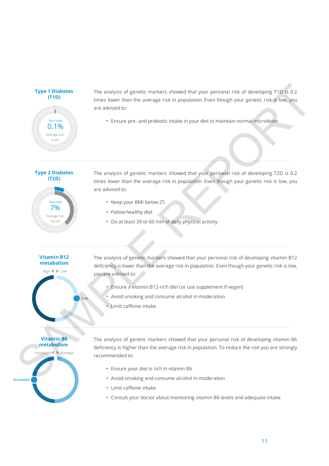**Type 1 Diabetes (T1D)**



The analysis of genetic markers showed that your personal risk of developing T1D is 0.2 times lower than the average risk in population. Even though your genetic risk is low, you are advised to:

Your risk: • Ensure pre- and probiotic intake in your diet to maintain normal microbiota

**Type 2 Diabetes (T2D)**



The analysis of genetic markers showed that your personal risk of developing T2D is 0.2 times lower than the average risk in population. Even though your genetic risk is low, you are advised to: Type 1 biabetes The analysis of genetic markers showed that your personal risk of eveloping TID is 0.2<br>
THE annexe team reaches entity in population, then the angle and problem and the second team and the control of the c

- Keep your BMI below 25
- Follow healthy diet
- Do at least 30 to 60 min of daily physical activity

## **Vitamin B12 metabolism**

The analysis of genetic markers showed that your personal risk of developing vitamin B12 deficiency is lower than the average risk in population. Even though your genetic risk is low, you are advised to:

- Ensure a vitamin B12-rich diet (or use supplement if vegan)
- Avoid smoking and consume alcohol in moderation
- Limit caffeine intake

#### **Vitamin B6 metabolism**



The analysis of genetic markers showed that your personal risk of developing vitamin B6 deficiency is higher than the average risk in population. To reduce the risk you are strongly recommended to:

- Ensure your diet is rich in vitamin B6
- Avoid smoking and consume alcohol in moderation
- Limit caffeine intake
- Consult your doctor about monitoring vitamin B6 levels and adequate intake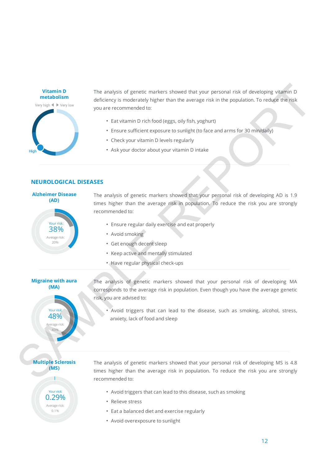

The analysis of genetic markers showed that your personal risk of developing vitamin D deficiency is moderately higher than the average risk in the population. To reduce the risk you are recommended to:

- Eat vitamin D rich food (eggs, oily fish, yoghurt)
- Ensure sufficient exposure to sunlight (to face and arms for 30 min/daily)
- Check your vitamin D levels regularly
- Ask your doctor about your vitamin D intake

| Your risk:<br>38%    |
|----------------------|
| Average risk:<br>20% |

**Alzheimer Disease (AD)**

#### **NEUROLOGICAL DISEASES**

The analysis of genetic markers showed that your personal risk of developing AD is 1.9 times higher than the average risk in population. To reduce the risk you are strongly recommended to: When the analysis of generic matters showed that your persons risk of developing vision in the second of the second properties in the second arms the 30 minutially,<br>
SAMPLE REPORT IS moderated to the second arms the 30 mi

- Ensure regular daily exercise and eat properly
- Avoid smoking
- Get enough decent sleep
- Keep active and mentally stimulated
- Have regular physical check-ups

## **Migraine with aura (MA)**

rage ris 43%

Your risk:

The analysis of genetic markers showed that your personal risk of developing MA corresponds to the average risk in population. Even though you have the average genetic risk, you are advised to:

• Avoid triggers that can lead to the disease, such as smoking, alcohol, stress, **48% anxiety, lack of food and sleep** 

#### **Multiple Sclerosis (MS)**

0.29% Average risk: 0.1%

Your risk:

The analysis of genetic markers showed that your personal risk of developing MS is 4.8 times higher than the average risk in population. To reduce the risk you are strongly recommended to:

- Avoid triggers that can lead to this disease, such as smoking
- Relieve stress
- Eat a balanced diet and exercise regularly
- Avoid overexposure to sunlight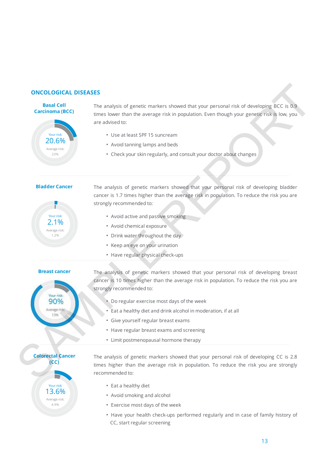#### **ONCOLOGICAL DISEASES**

## **Basal Cell Carcinoma (BCC)** Your risk: Average risk: 23% 20.6%

The analysis of genetic markers showed that your personal risk of developing BCC is 0.9 times lower than the average risk in population. Even though your genetic risk is low, you are advised to:

- Use at least SPF 15 suncream
- Avoid tanning lamps and beds
- Check your skin regularly, and consult your doctor about changes

#### **Bladder Cancer**



The analysis of genetic markers showed that your personal risk of developing bladder cancer is 1.7 times higher than the average risk in population. To reduce the risk you are strongly recommended to:

- Avoid active and passive smoking
- Avoid chemical exposure
- Drink water throughout the day
- Keep an eye on your urination
- Have regular physical check-ups



**Breast cancer** The analysis of genetic markers showed that your personal risk of developing breast cancer is 10 times higher than the average risk in population. To reduce the risk you are strongly recommended to: **EXAMPLE REPORT THE SAMPLE CONSULTER CONSULTER CONSULTER CONSULTER CONSULTER CONSULTER CONSULTER CONSULTER CONSULTER CONSULTER CONSULTER CONSULTER CONSULTER CONSULTER CONSULTER CONSULTER CONSULTER CONSULTER CONSULTER CONS** 

- Do regular exercise most days of the week
- Eat a healthy diet and drink alcohol in moderation, if at all
- Give yourself regular breast exams
- Have regular breast exams and screening
- Limit postmenopausal hormone therapy



The analysis of genetic markers showed that your personal risk of developing CC is 2.8 times higher than the average risk in population. To reduce the risk you are strongly recommended to:

- Eat a healthy diet
- Avoid smoking and alcohol
- Exercise most days of the week
- Have your health check-ups performed regularly and in case of family history of CC, start regular screening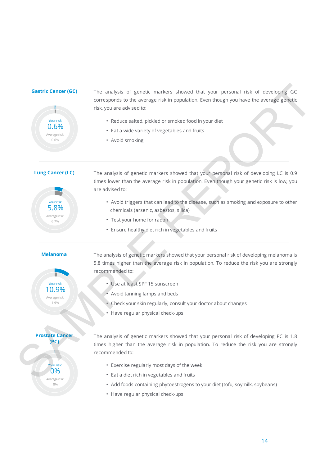

**Gastric Cancer (GC)** The analysis of genetic markers showed that your personal risk of developing GC corresponds to the average risk in population. Even though you have the average genetic risk, you are advised to: Gastric Cancer (GC) The analysis of garetic markers showed that your personal risk of developing CC<br>
corresponds to the svenge risk in population. Leen though you have the svenge genest<br>
This you are added to smoothed foo

- Reduce salted, pickled or smoked food in your diet
- Eat a wide variety of vegetables and fruits
- Avoid smoking

**Lung Cancer (LC)**



The analysis of genetic markers showed that your personal risk of developing LC is 0.9 times lower than the average risk in population. Even though your genetic risk is low, you are advised to:

- Avoid triggers that can lead to the disease, such as smoking and exposure to other chemicals (arsenic, asbestos, silica)
- Test your home for radon
- Ensure healthy diet rich in vegetables and fruits

10.9% Average risk: 1.9% Your risk:

**Prostate Cancer (PC)**

> 0% Average risk: 0%

Your risk:

**Melanoma** The analysis of genetic markers showed that your personal risk of developing melanoma is 5.8 times higher than the average risk in population. To reduce the risk you are strongly recommended to:

- Use at least SPF 15 sunscreen
- Avoid tanning lamps and beds
- Check your skin regularly, consult your doctor about changes
- Have regular physical check-ups

The analysis of genetic markers showed that your personal risk of developing PC is 1.8 times higher than the average risk in population. To reduce the risk you are strongly recommended to:

- Exercise regularly most days of the week
- Eat a diet rich in vegetables and fruits
- Add foods containing phytoestrogens to your diet (tofu, soymilk, soybeans)
- Have regular physical check-ups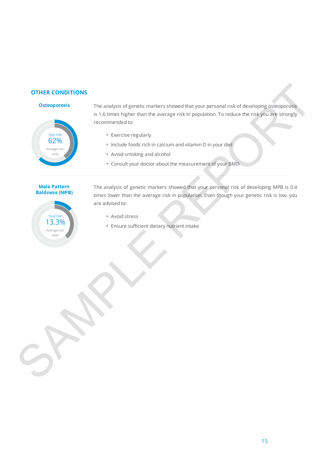#### **OTHER CONDITIONS**



**Osteoporosis** The analysis of genetic markers showed that your personal risk of developing osteoporosis is 1.6 times higher than the average risk in population. To reduce the risk you are strongly recommended to:

- Exercise regularly
- Include foods rich in calcium and vitamin D in your diet
- Avoid smoking and alcohol
- Consult your doctor about the measurement of your BMD

#### **Male Pattern Baldness (MPB)**



The analysis of genetic markers showed that your personal risk of developing MPB is 0.4 times lower than the average risk in population. Even though your genetic risk is low, you are advised to: OTHER CONDITIONS<br>
The analysis of genetic marters showed that your personal risk of developing subsequends<br>
stormerized to:<br>
second stress the properties and accred<br>
CDV (Consul your docter during and accred<br>
... Avoid sim

- Avoid stress
- Ensure sufficient dietary nutrient intake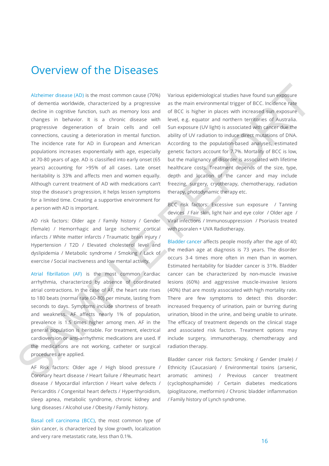## Overview of the Diseases

Alzheimer disease (AD) is the most common cause (70%) of dementia worldwide, characterized by a progressive decline in cognitive function, such as memory loss and changes in behavior. It is a chronic disease with progressive degeneration of brain cells and cell connections, causing a deterioration in mental function. The incidence rate for AD in European and American populations increases exponentially with age, especially at 70-80 years of age. AD is classified into early onset (65 years) accounting for >95% of all cases. Late onset heritability is 33% and affects men and women equally. Although current treatment of AD with medications can't stop the disease's progression, it helps lessen symptoms for a limited time. Creating a supportive environment for a person with AD is important. Although distance (AD) is the most common cause (70%). Various explorementions and the from the most common cause of distance and distance and distance and distance and distance and the most common cause of the most conce

AD risk factors: Older age / Family history / Gender (female) / Hemorrhagic and large ischemic cortical infarcts / White matter infarcts / Traumatic brain injury / Hypertension / T2D / Elevated cholesterol level and dyslipidemia / Metabolic syndrome / Smoking / Lack of exercise / Social inactiveness and low mental activity.

Atrial fibrillation (AF) is the most common cardiac arrhythmia, characterized by absence of coordinated atrial contractions. In the case of AF, the heart rate rises to 180 beats (normal rate 60-80) per minute, lasting from seconds to days. Symptoms include shortness of breath and weakness. AF affects nearly 1% of population, prevalence is 1.5 times higher among men. AF in the general population is heritable. For treatment, electrical cardioversion or anti-arrhythmic medications are used. If the medications are not working, catheter or surgical procedures are applied.

AF Risk factors: Older age / High blood pressure / Coronary heart disease / Heart failure / Rheumatic heart disease / Myocardial infarction / Heart valve defects / Pericarditis / Congenital heart defects / Hyperthyroidism, sleep apnea, metabolic syndrome, chronic kidney and lung diseases / Alcohol use / Obesity / Family history.

Basal cell carcinoma (BCC), the most common type of skin cancer, is characterized by slow growth, localization and very rare metastatic rate, less than 0.1%.

Various epidemiological studies have found sun exposure as the main environmental trigger of BCC. Incidence rate of BCC is higher in places with increased sun exposure level, e.g. equator and northern territories of Australia. Sun exposure (UV light) is associated with cancer due the ability of UV radiation to induce direct mutations of DNA. According to the population-based analyses, estimated genetic factors account for 7.7%. Mortality of BCC is low, but the malignancy of disorder is associated with lifetime healthcare costs. Treatment depends of the size, type, depth and location of the cancer and may include freezing, surgery, cryotherapy, chemotherapy, radiation therapy, photodynamic therapy etc.

BCC risk factors: Excessive sun exposure / Tanning devices / Fair skin, light hair and eye color / Older age / Viral infections / Immunosuppression / Psoriasis treated with psoralen + UVA Radiotherapy.

Bladder cancer affects people mostly after the age of 40; the median age at diagnosis is 73 years. The disorder occurs 3-4 times more often in men than in women. Estimated heritability for bladder cancer is 31%. Bladder cancer can be characterized by non-muscle invasive lesions (60%) and aggressive muscle-invasive lesions (40%) that are mostly associated with high mortality rate. There are few symptoms to detect this disorder: increased frequency of urination, pain or burring during urination, blood in the urine, and being unable to urinate. The efficacy of treatment depends on the clinical stage and associated risk factors. Treatment options may include surgery, immunotherapy, chemotherapy and radiation therapy.

Bladder cancer risk factors: Smoking / Gender (male) / Ethnicity (Caucasian) / Environmental toxins (arsenic, aromatic amines) / Previous cancer treatment (cyclophosphamide) / Certain diabetes medications (pioglitazone, metformin) / Chronic bladder inflammation / Family history of Lynch syndrome.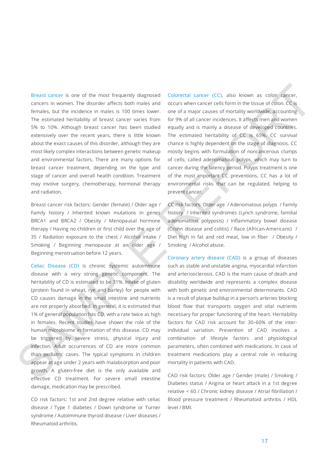Breast cancer is one of the most frequently diagnosed cancers in women. The disorder affects both males and females, but the incidence in males is 100 times lower. The estimated heritability of breast cancer varies from 5% to 10%. Although breast cancer has been studied extensively over the recent years, there is little known about the exact causes of this disorder, although they are most likely complex interactions between genetic makeup and environmental factors. There are many options for breast cancer treatment, depending on the type and stage of cancer and overall health condition. Treatment may involve surgery, chemotherapy, hormonal therapy and radiation.

Breast cancer risk factors: Gender (female) / Older age / Family history / Inherited known mutations in genes BRCA1 and BRCA2 / Obesity / Menopausal hormone therapy / Having no children or first child over the age of 35 / Radiation exposure to the chest / Alcohol intake / Smoking / Beginning menopause at an older age / Beginning menstruation before 12 years.

Celiac Disease (CD) is chronic systemic autoimmune disease with a very strong genetic component. The heritability of CD is estimated to be 31%. Intake of gluten (protein found in wheat, rye and barley) for people with CD causes damage in the small intestine and nutrients are not properly absorbed. In general, it is estimated that 1% of general population has CD, with a rate twice as high in females. Recent studies have shown the role of the human microbiome in formation of this disease. CD may be triggered by severe stress, physical injury and infection. Adult occurrences of CD are more common than pediatric cases. The typical symptoms in children appear at age under 2 years with malabsorption and poor growth. A gluten-free diet is the only available and effective CD treatment. For severe small intestine damage, medication may be prescribed. Breast cancer is one of the most frequently diagroosed. Colorectic Lancer (CC), also known as color cancer, fourthermore in the case of the most controller cancer in the case of the most cancer in most cancer in most canc

CD risk factors: 1st and 2nd degree relative with celiac disease / Type 1 diabetes / Down syndrome or Turner syndrome / Autoimmune thyroid disease / Liver diseases / Rheumatoid arthritis.

Colorectal cancer (CC), also known as colon cancer, occurs when cancer cells form in the tissue of colon. CC is one of a major causes of mortality worldwide, accounting for 9% of all cancer incidences. It affects men and women equally and is mainly a disease of developed countries. The estimated heritability of CC is 65%. CC survival chance is highly dependent on the stage of diagnosis. CC mostly begins with formulation of noncancerous clumps of cells, called adenomatous polyps, which may turn to cancer during the latency period. Polyps treatment is one of the most important CC preventions. CC has a lot of environmental risks that can be regulated, helping to prevent cancer.

CC risk factors: Older age / Adenomatous polyps / Family history / Inherited syndromes (Lynch syndrome, familial adenomatous polyposis) / Inflammatory bowel disease (Crohn disease and colitis) / Race (African-Americans) / Diet high in fat and red meat, low in fiber / Obesity / Smoking / Alcohol abuse.

Coronary artery disease (CAD) is a group of diseases such as stable and unstable angina, myocardial infarction and arteriosclerosis. CAD is the main cause of death and disability worldwide and represents a complex disease with both genetic and environmental determinants. CAD is a result of plaque buildup in a person's arteries blocking blood flow that transports oxygen and vital nutrients necessary for proper functioning of the heart. Heritability factors for CAD risk account for 30–60% of the interindividual variation. Prevention of CAD involves a combination of lifestyle factors and physiological parameters, often combined with medications. In case of treatment medications play a central role in reducing mortality in patients with CAD.

CAD risk factors: Older age / Gender (male) / Smoking / Diabetes status / Angina or heart attack in a 1st degree relative < 60 / Chronic kidney disease / Atrial fibrillation / Blood pressure treatment / Rheumatoid arthritis / HDL level / BMI.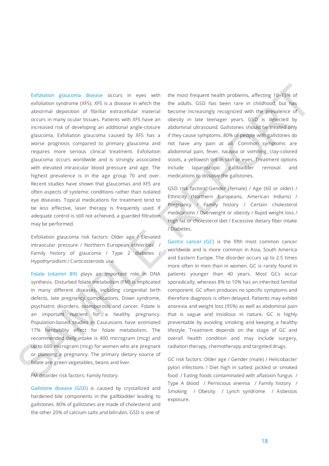Exfoliation glaucoma disease occurs in eyes with exfoliation syndrome (XFS). XFS is a disease in which the abnormal deposition of fibrillar extracellular material occurs in many ocular tissues. Patients with XFS have an increased risk of developing an additional angle-closure glaucoma. Exfoliation glaucoma caused by XFS has a worse prognosis compared to primary glaucoma and requires more serious clinical treatment. Exfoliation glaucoma occurs worldwide and is strongly associated with elevated intraocular blood pressure and age. The highest prevalence is in the age group 70 and over. Recent studies have shown that glaucomas and XFS are often aspects of systemic conditions rather than isolated eye diseases. Topical medications for treatment tend to be less effective, laser therapy is frequently used. If adequate control is still not achieved, a guarded filtration may be performed. Estrainante glaucone disease occurs in eyes with the most frequent health predients, affecting 10-15% as elections of the most including (MES). As discussions in the absolution (MES), and including (MES), and the most con

Exfoliation glaucoma risk factors: Older age / Elevated intraocular pressure / Northern European ethnicities / Family history of glaucoma / Type 2 diabetes Hypothyroidism / Corticosteroids use.

Folate (vitamin B9) plays an important role in DNA synthesis. Disturbed folate metabolism (FM) is implicated in many different diseases, including congenital birth defects, late pregnancy complications, Down syndrome, psychiatric disorders, osteoporosis and cancer. Folate is an important nutrient for a healthy pregnancy. Population-based studies in Caucasians have estimated 17% heritability effect for folate metabolism. The recommended daily intake is 400 microgram (mcg) and up to 600 microgram (mcg) for women who are pregnant or planning a pregnancy. The primary dietary source of folate are green vegetables, beans and liver.

FM disorder risk factors: Family history.

Gallstone disease (GSD) is caused by crystallized and hardened bile components in the gallbladder leading to gallstones. 80% of gallstones are made of cholesterol and the other 20% of calcium salts and bilirubin. GSD is one of

the most frequent health problems, affecting 10–15% of the adults. GSD has been rare in childhood, but has become increasingly recognized with the prevalence of obesity in late teenager years. GSD is detected by abdominal ultrasound. Gallstones should be treated only if they cause symptoms. 80% of people with gallstones do not have any pain at all. Common symptoms are abdominal pain, fever, nausea or vomiting, clay-colored stools, a yellowish tint in skin or eyes. Treatment options include laparoscopic gallbladder removal and medications to dissolve the gallstones.

GSD risk factors: Gender (female) / Age (60 or older) / Ethnicity (Northern Europeans, American Indians) / Pregnancy / Family history / Certain cholesterol medications / Overweight or obesity / Rapid weight loss / High fat or cholesterol diet / Excessive dietary fiber intake / Diabetes.

Gastric cancer (GC) is the fifth most common cancer worldwide and is more common in Asia, South America and Eastern Europe. The disorder occurs up to 2.5 times more often in men than in women. GC is rarely found in patients younger than 40 years. Most GCs occur sporadically, whereas 8% to 10% has an inherited familial component. GC often produces no specific symptoms and therefore diagnosis is often delayed. Patients may exhibit anorexia and weight loss (95%) as well as abdominal pain that is vague and insidious in nature. GC is highly preventable by avoiding smoking and keeping a healthy lifestyle. Treatment depends on the stage of GC and overall health condition and may include surgery, radiation therapy, chemotherapy and targeted drugs.

GC risk factors: Older age / Gender (male) / Helicobacter pylori infections / Diet high in salted, pickled or smoked food / Eating foods contaminated with aflatoxin fungus / Type A blood / Pernicious anemia / Family history / Smoking / Obesity / Lynch syndrome / Asbestos exposure.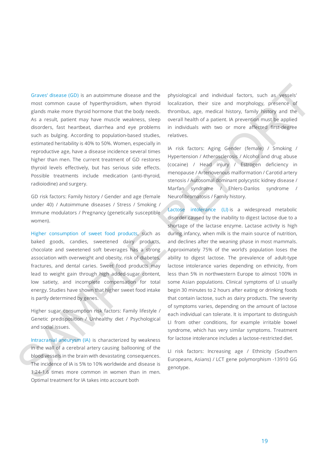Graves' disease (GD) is an autoimmune disease and the most common cause of hyperthyroidism, when thyroid glands make more thyroid hormone that the body needs. As a result, patient may have muscle weakness, sleep disorders, fast heartbeat, diarrhea and eye problems such as bulging. According to population-based studies, estimated heritability is 40% to 50%. Women, especially in reproductive age, have a disease incidence several times higher than men. The current treatment of GD restores thyroid levels effectively, but has serious side effects. Possible treatments include medication (anti-thyroid, radioiodine) and surgery.

GD risk factors: Family history / Gender and age (female under 40) / Autoimmune diseases / Stress / Smoking / Immune modulators / Pregnancy (genetically susceptible women).

Higher consumption of sweet food products, such as baked goods, candies, sweetened dairy products, chocolate and sweetened soft beverages has a strong association with overweight and obesity, risk of diabetes, fractures, and dental caries. Sweet food products may lead to weight gain through high added-sugar content, low satiety, and incomplete compensation for total energy. Studies have shown that higher sweet food intake is partly determined by genes.

Higher sugar consumption risk factors: Family lifestyle / Genetic predisposition / Unhealthy diet / Psychological and social issues.

Intracranial aneurysm (IA) is characterized by weakness in the wall of a cerebral artery causing ballooning of the blood vessels in the brain with devastating consequences. The incidence of IA is 5% to 10% worldwide and disease is 1.24-1.6 times more common in women than in men. Optimal treatment for IA takes into account both

physiological and individual factors, such as vessels' localization, their size and morphology, presence of thrombus, age, medical history, family history and the overall health of a patient. IA prevention must be applied in individuals with two or more affected first-degree relatives.

IA risk factors: Aging Gender (female) / Smoking / Hypertension / Atherosclerosis / Alcohol and drug abuse (cocaine) / Head injury / Estrogen deficiency in menopause / Arteriovenous malformation / Carotid artery stenosis / Autosomal dominant polycystic kidney disease / Marfan syndrome / Ehlers-Danlos syndrome / Neurofibromatosis / Family history.

Lactose intolerance (LI) is a widespread metabolic disorder caused by the inability to digest lactose due to a shortage of the lactase enzyme. Lactase activity is high during infancy, when milk is the main source of nutrition, and declines after the weaning phase in most mammals. Approximately 75% of the world's population loses the ability to digest lactose. The prevalence of adult-type lactose intolerance varies depending on ethnicity, from less than 5% in northwestern Europe to almost 100% in some Asian populations. Clinical symptoms of LI usually begin 30 minutes to 2 hours after eating or drinking foods that contain lactose, such as dairy products. The severity of symptoms varies, depending on the amount of lactose each individual can tolerate. It is important to distinguish LI from other conditions, for example irritable bowel syndrome, which has very similar symptoms. Treatment for lactose intolerance includes a lactose-restricted diet. Graves disease (60) is an autommuze disease and the physiological and individual factors, such as weasself<br>most common cause of lighted yields and the body reestic. Strombus, age, mealcal history, inpining y prioring<br>at t

LI risk factors: Increasing age / Ethnicity (Southern Europeans, Asians) / LCT gene polymorphism -13910 GG genotype.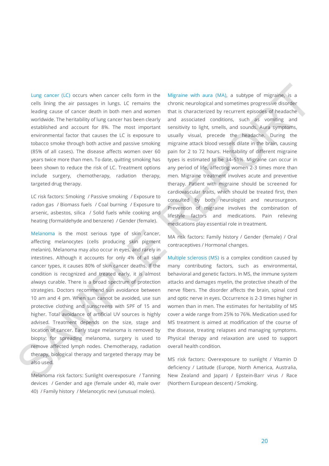Lung cancer (LC) occurs when cancer cells form in the cells lining the air passages in lungs. LC remains the leading cause of cancer death in both men and women worldwide. The heritability of lung cancer has been clearly established and account for 8%. The most important environmental factor that causes the LC is exposure to tobacco smoke through both active and passive smoking (85% of all cases). The disease affects women over 60 years twice more than men. To date, quitting smoking has been shown to reduce the risk of LC. Treatment options include surgery, chemotherapy, radiation therapy, targeted drug therapy.

LC risk factors: Smoking / Passive smoking / Exposure to radon gas / Biomass fuels / Coal burning / Exposure to arsenic, asbestos, silica / Solid fuels while cooking and heating (formaldehyde and benzene) / Gender (female).

Melanoma is the most serious type of skin cancer, affecting melanocytes (cells producing skin pigment melanin). Melanoma may also occur in eyes, and rarely in intestines. Although it accounts for only 4% of all skin cancer types, it causes 80% of skin cancer deaths. If the condition is recognized and treated early, it is almost always curable. There is a broad spectrum of protection strategies. Doctors recommend sun avoidance between 10 am and 4 pm. When sun cannot be avoided, use sun protective clothing and sunscreens with SPF of 15 and higher. Total avoidance of artificial UV sources is highly advised. Treatment depends on the size, stage and location of cancer. Early stage melanoma is removed by biopsy; for spreading melanoma, surgery is used to remove affected lymph nodes. Chemotherapy, radiation therapy, biological therapy and targeted therapy may be also used.

Melanoma risk factors: Sunlight overexposure / Tanning devices / Gender and age (female under 40, male over 40) / Family history / Melanocytic nevi (unusual moles).

Migraine with aura (MA), a subtype of migraine, is a chronic neurological and sometimes progressive disorder that is characterized by recurrent episodes of headache and associated conditions, such as vomiting and sensitivity to light, smells, and sounds. Aura symptoms, usually visual, precede the headache. During the migraine attack blood vessels dilate in the brain, causing pain for 2 to 72 hours. Heritability of different migraine types is estimated to be 34–51%. Migraine can occur in any period of life, affecting women 2-3 times more than men. Migraine treatment involves acute and preventive therapy. Patient with migraine should be screened for cardiovascular traits, which should be treated first, then consulted by both neurologist and neurosurgeon. Prevention of migraine involves the combination of lifestyle factors and medications. Pain relieving medications play essential role in treatment. Ling cancer (LC) occurs when cancer cells form in the Migraine with any desire (MA), a subspect impediate, as cells fining the air parasys in large, LC remains in certainties incredicted in the mission constitute of the m

MA risk factors: Family history / Gender (female) / Oral contraceptives / Hormonal changes.

Multiple sclerosis (MS) is a complex condition caused by many contributing factors, such as environmental, behavioral and genetic factors. In MS, the immune system attacks and damages myelin, the protective sheath of the nerve fibers. The disorder affects the brain, spinal cord and optic nerve in eyes. Occurrence is 2-3 times higher in women than in men. The estimates for heritability of MS cover a wide range from 25% to 76%. Medication used for MS treatment is aimed at modification of the course of the disease, treating relapses and managing symptoms. Physical therapy and relaxation are used to support overall health condition.

MS risk factors: Overexposure to sunlight / Vitamin D deficiency / Latitude (Europe, North America, Australia, New Zealand and Japan) / Epstein-Barr virus / Race (Northern European descent) / Smoking.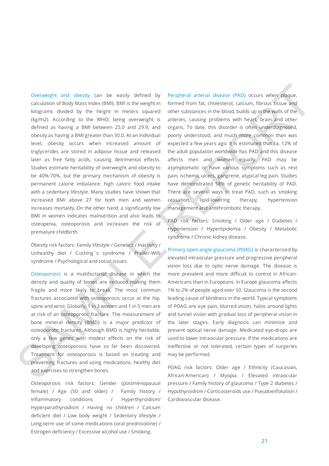Overweight and obesity can be easily defined by calculation of Body Mass Index (BMI). BMI is the weight in kilograms divided by the height in meters squared (kg/m2). According to the WHO, being overweight is defined as having a BMI between 25.0 and 29.9, and obesity as having a BMI greater than 30.0. At an individual level, obesity occurs when increased amount of triglycerides are stored in adipose tissue and released later as free fatty acids, causing detrimental effects. Studies estimate heritability of overweight and obesity to be 40%-70%, but the primary mechanism of obesity is permanent calorie imbalance: high caloric food intake with a sedentary lifestyle. Many studies have shown that increased BMI above 27 for both men and women increases mortality. On the other hand, a significantly low BMI in women indicates malnutrition and also leads to osteopenia, osteoporosis and increases the risk of premature childbirth. Overweget and obesly, can be easily defined by Percheral artenal deseas (PAD) occurs when<br>calculation Bookhola (memberis and also memberis and also memberis and also memberis and also memberis and also memberis and also m

Obesity risk factors: Family lifestyle / Genetics / Inactivity / Unhealthy diet / Cushing´s syndrome / Prader-Willi syndrome / Psychological and social issues.

Osteoporosis is a multifactorial disease in which the density and quality of bones are reduced making them fragile and more likely to break. The most common fractures associated with osteoporosis occur at the hip, spine and wrist. Globally, 1 in 3 women and 1 in 5 men are at risk of an osteoporotic fracture. The measurement of bone mineral density (BMD) is a major predictor of osteoporotic fractures. Although BMD is highly heritable, only a few genes with modest effects on the risk of developing osteoporosis have so far been discovered. Treatment for osteoporosis is based on treating and preventing fractures and using medications, healthy diet and exercises to strengthen bones.

Osteoporosis risk factors: Gender (postmenopausal female) / Age (50 and older) / Family history / Inflammatory conditions / Hyperthyroidism/ Hyperparathyroidism / Having no children / Calcium deficient diet / Low body weight / Sedentary lifestyle / Long-term use of some medications (oral prednisolone) / Estrogen deficiency / Excessive alcohol use / Smoking.

Peripheral arterial disease (PAD) occurs when plaque, formed from fat, cholesterol, calcium, fibrous tissue and other substances in the blood, builds up in the walls of the arteries, causing problems with heart, brain and other organs. To date, this disorder is often underdiagnosed, poorly understood, and much more common than was expected a few years ago. It is estimated that ca. 12% of the adult population worldwide has PAD and this disease affects men and women equally. PAD may be asymptomatic or have various symptoms such as rest pain, ischemic ulcers, gangrene, atypical leg pain. Studies have demonstrated 58% of genetic heritability of PAD. There are several ways to treat PAD, such as smoking cessation, lipid-lowering therapy, hypertension management and antithrombotic therapy.

PAD risk factors: Smoking / Older age / Diabetes / Hypertension / Hyperlipidemia / Obesity / Metabolic syndrome / Chronic kidney disease.

Primary open-angle glaucoma (POAG) is characterized by elevated intraocular pressure and progressive peripheral vision loss due to optic nerve damage. The disease is more prevalent and more difficult to control in African-Americans than in Europeans. In Europe glaucoma affects 1% to 2% of people aged over 50. Glaucoma is the second leading cause of blindness in the world. Typical symptoms of POAG are eye pain, blurred vision, halos around lights and tunnel vision with gradual loss of peripheral vision in the later stages. Early diagnosis can minimize and prevent optical nerve damage. Medicated eye-drops are used to lower intraocular pressure. If the medications are ineffective or not tolerated, certain types of surgeries may be performed.

POAG risk factors: Older age / Ethnicity (Caucasian, African-American) / Myopia / Elevated intraocular pressure / Family history of glaucoma / Type 2 diabetes / Hypothyroidism / Corticosteroids use / Pseudoexfoliation / Cardiovascular disease.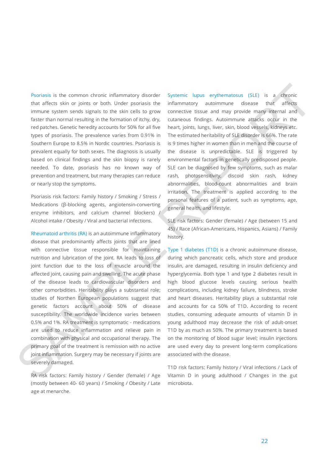Psoriasis is the common chronic inflammatory disorder that affects skin or joints or both. Under psoriasis the immune system sends signals to the skin cells to grow faster than normal resulting in the formation of itchy, dry, red patches. Genetic heredity accounts for 50% for all five types of psoriasis. The prevalence varies from 0.91% in Southern Europe to 8.5% in Nordic countries. Psoriasis is prevalent equally for both sexes. The diagnosis is usually based on clinical findings and the skin biopsy is rarely needed. To date, psoriasis has no known way of prevention and treatment, but many therapies can reduce or nearly stop the symptoms.

Psoriasis risk factors: Family history / Smoking / Stress / Medications (β-blocking agents, angiotensin-converting enzyme inhibitors, and calcium channel blockers) / Alcohol intake / Obesity / Viral and bacterial infections.

Rheumatoid arthritis (RA) is an autoimmune inflammatory disease that predominantly affects joints that are lined with connective tissue responsible for maintaining nutrition and lubrication of the joint. RA leads to loss of joint function due to the loss of muscle around the affected joint, causing pain and swelling. The acute phase of the disease leads to cardiovascular disorders and other comorbidities. Heritability plays a substantial role; studies of Northen European populations suggest that genetic factors account about 50% of disease susceptibility. The worldwide incidence varies between 0.5% and 1%. RA treatment is symptomatic - medications are used to reduce inflammation and relieve pain in combination with physical and occupational therapy. The primary goal of the treatment is remission with no active joint inflammation. Surgery may be necessary if joints are severely damaged. Psotiast is the common chronic inflammatory disorder - systems lapps experimenents (SLE) is a distinctive curve of the systems in inflame the more plane in the more plane inflame inflame inflame inflame inflame inflame in

RA risk factors: Family history / Gender (female) / Age (mostly between 40- 60 years) / Smoking / Obesity / Late age at menarche.

Systemic lupus erythematosus (SLE) is a chronic inflammatory autoimmune disease that affects connective tissue and may provide many internal and cutaneous findings. Autoimmune attacks occur in the heart, joints, lungs, liver, skin, blood vessels, kidneys etc. The estimated heritability of SLE disorder is 66%. The rate is 9 times higher in women than in men and the course of the disease is unpredictable. SLE is triggered by environmental factors in genetically predisposed people. SLE can be diagnosed by few symptoms, such as malar rash, photosensitivity, discoid skin rash, kidney abnormalities, blood-count abnormalities and brain irritation. The treatment is applied according to the personal features of a patient, such as symptoms, age, general health, and lifestyle.

SLE risk factors: Gender (female) / Age (between 15 and 45) / Race (African-Americans, Hispanics, Asians) / Family history.

Type 1 diabetes (T1D) is a chronic autoimmune disease, during which pancreatic cells, which store and produce insulin, are damaged, resulting in insulin deficiency and hyperglycemia. Both type 1 and type 2 diabetes result in high blood glucose levels causing serious health complications, including kidney failure, blindness, stroke and heart diseases. Heritability plays a substantial role and accounts for ca 50% of T1D. According to recent studies, consuming adequate amounts of vitamin D in young adulthood may decrease the risk of adult-onset T1D by as much as 50%. The primary treatment is based on the monitoring of blood sugar level; insulin injections are used every day to prevent long-term complications associated with the disease.

T1D risk factors: Family history / Viral infections / Lack of Vitamin D in young adulthood / Changes in the gut microbiota.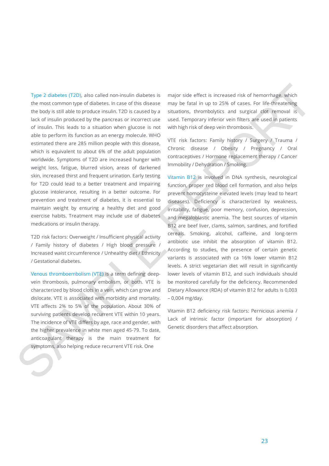Type 2 diabetes (T2D), also called non-insulin diabetes is the most common type of diabetes. In case of this disease the body is still able to produce insulin. T2D is caused by a lack of insulin produced by the pancreas or incorrect use of insulin. This leads to a situation when glucose is not able to perform its function as an energy molecule. WHO estimated there are 285 million people with this disease, which is equivalent to about 6% of the adult population worldwide. Symptoms of T2D are increased hunger with weight loss, fatigue, blurred vision, areas of darkened skin, increased thirst and frequent urination. Early testing for T2D could lead to a better treatment and impairing glucose intolerance, resulting in a better outcome. For prevention and treatment of diabetes, it is essential to maintain weight by ensuring a healthy diet and good exercise habits. Treatment may include use of diabetes medications or insulin therapy. liype 2 diabetes (120), also called non-insulin diabetes is major side effect is increased risk of hemoritogis, which the most community of diabetes. In case of the diabetes, increased in the collection in a particular te

T2D risk factors: Overweight / Insufficient physical activity / Family history of diabetes / High blood pressure / Increased waist circumference / Unhealthy diet / Ethnicity / Gestational diabetes.

Venous thromboembolism (VTE) is a term defining deepvein thrombosis, pulmonary embolism, or both. VTE is characterized by blood clots in a vein, which can grow and dislocate. VTE is associated with morbidity and mortality. VTE affects 2% to 5% of the population. About 30% of surviving patients develop recurrent VTE within 10 years. The incidence of VTE differs by age, race and gender, with the higher prevalence in white men aged 45-79. To date, anticoagulant therapy is the main treatment for symptoms, also helping reduce recurrent VTE risk. One

major side effect is increased risk of hemorrhage, which may be fatal in up to 25% of cases. For life-threatening situations, thrombolytics and surgical clot removal is used. Temporary inferior vein filters are used in patients with high risk of deep vein thrombosis.

VTE risk factors: Family history / Surgery / Trauma / Chronic disease / Obesity / Pregnancy / Oral contraceptives / Hormone replacement therapy / Cancer Immobility / Dehydration / Smoking.

Vitamin B12 is involved in DNA synthesis, neurological function, proper red blood cell formation, and also helps prevent homocysteine elevated levels (may lead to heart diseases). Deficiency is characterized by weakness, irritability, fatigue, poor memory, confusion, depression, and megaloblastic anemia. The best sources of vitamin B12 are beef liver, clams, salmon, sardines, and fortified cereals. Smoking, alcohol, caffeine, and long-term antibiotic use inhibit the absorption of vitamin B12. According to studies, the presence of certain genetic variants is associated with ca 16% lower vitamin B12 levels. A strict vegetarian diet will result in significantly lower levels of vitamin B12, and such individuals should be monitored carefully for the deficiency. Recommended Dietary Allowance (RDA) of vitamin B12 for adults is 0,003 – 0,004 mg/day.

Vitamin B12 deficiency risk factors: Pernicious anemia / Lack of intrinsic factor (important for absorption) / Genetic disorders that affect absorption.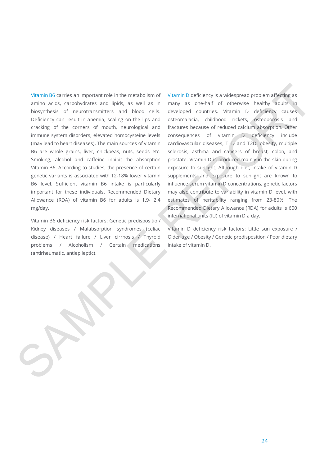Vitamin B6 carries an important role in the metabolism of amino acids, carbohydrates and lipids, as well as in biosynthesis of neurotransmitters and blood cells. Deficiency can result in anemia, scaling on the lips and cracking of the corners of mouth, neurological and immune system disorders, elevated homocysteine levels (may lead to heart diseases). The main sources of vitamin B6 are whole grains, liver, chickpeas, nuts, seeds etc. Smoking, alcohol and caffeine inhibit the absorption Vitamin B6. According to studies, the presence of certain genetic variants is associated with 12-18% lower vitamin B6 level. Sufficient vitamin B6 intake is particularly important for these individuals. Recommended Dietary Allowance (RDA) of vitamin B6 for adults is 1.9- 2,4 mg/day.

Vitamin B6 deficiency risk factors: Genetic predispositio / Kidney diseases / Malabsorption syndromes (celiac disease) / Heart failure / Liver cirrhosis / Thyroid problems / Alcoholism / Certain medications (antirheumatic, antiepileptic).

Vitamin D deficiency is a widespread problem affecting as many as one-half of otherwise healthy adults in developed countries. Vitamin D deficiency causes osteomalacia, childhood rickets, osteoporosis and fractures because of reduced calcium absorption. Other consequences of vitamin D deficiency include cardiovascular diseases, T1D and T2D, obesity, multiple sclerosis, asthma and cancers of breast, colon, and prostate. Vitamin D is produced mainly in the skin during exposure to sunlight. Although diet, intake of vitamin D supplements and exposure to sunlight are known to influence serum vitamin D concentrations, genetic factors may also contribute to variability in vitamin D level, with estimates of heritability ranging from 23-80%. The Recommended Dietary Allowance (RDA) for adults is 600 international units (IU) of vitamin D a day. Vitamin 86 corres an important rote in the metabolism of "Vitamin 0 deficency is widespread problem differency as a<br>lining according to an interval light, as well as in imary as one linit of distribution and proportions an

Vitamin D deficiency risk factors: Little sun exposure / Older age / Obesity / Genetic predisposition / Poor dietary intake of vitamin D.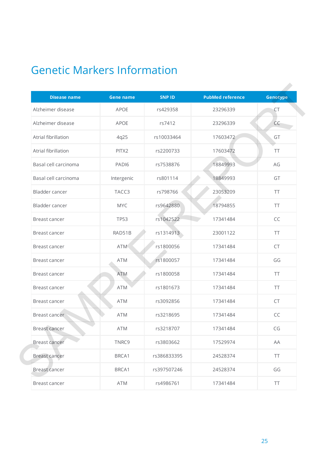# Genetic Markers Information

| <b>Disease name</b>  | <b>Gene name</b>  | <b>SNPID</b> | <b>PubMed reference</b> | Genotype  |
|----------------------|-------------------|--------------|-------------------------|-----------|
|                      |                   |              |                         |           |
| Alzheimer disease    | APOE              | rs429358     | 23296339                | CT        |
| Alzheimer disease    | <b>APOE</b>       | rs7412       | 23296339                | CC        |
| Atrial fibrillation  | 4q25              | rs10033464   | 17603472                | GT        |
| Atrial fibrillation  | PITX2             | rs2200733    | 17603472                | <b>TT</b> |
| Basal cell carcinoma | PAD <sub>16</sub> | rs7538876    | 18849993                | AG        |
| Basal cell carcinoma | Intergenic        | rs801114     | 18849993                | GT        |
| Bladder cancer       | TACC3             | rs798766     | 23053209                | <b>TT</b> |
| Bladder cancer       | <b>MYC</b>        | rs9642880    | 18794855                | <b>TT</b> |
| Breast cancer        | <b>TP53</b>       | rs1042522    | 17341484                | CC        |
| Breast cancer        | RAD51B            | rs1314913    | 23001122                | <b>TT</b> |
| Breast cancer        | <b>ATM</b>        | rs1800056    | 17341484                | CT        |
| Breast cancer        | <b>ATM</b>        | rs1800057    | 17341484                | GG        |
| Breast cancer        | <b>ATM</b>        | rs1800058    | 17341484                | TT        |
| Breast cancer        | <b>ATM</b>        | rs1801673    | 17341484                | <b>TT</b> |
| Breast cancer        | <b>ATM</b>        | rs3092856    | 17341484                | CT        |
| Breast cancer        | <b>ATM</b>        | rs3218695    | 17341484                | CC        |
| <b>Breast cancer</b> | <b>ATM</b>        | rs3218707    | 17341484                | CG        |
| <b>Breast cancer</b> | TNRC9             | rs3803662    | 17529974                | AA        |
| <b>Breast cancer</b> | BRCA1             | rs386833395  | 24528374                | <b>TT</b> |
| <b>Breast cancer</b> | BRCA1             | rs397507246  | 24528374                | GG        |
| <b>Breast cancer</b> | ATM               | rs4986761    | 17341484                | TT        |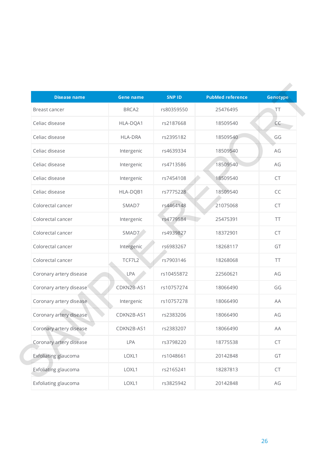| <b>Disease name</b>     | <b>Gene name</b>  | <b>SNP ID</b> | <b>PubMed reference</b> | Genotype  |
|-------------------------|-------------------|---------------|-------------------------|-----------|
| Breast cancer           | BRCA <sub>2</sub> | rs80359550    | 25476495                | <b>TT</b> |
| Celiac disease          | HLA-DQA1          | rs2187668     | 18509540                | CC        |
| Celiac disease          | <b>HLA-DRA</b>    | rs2395182     | 18509540                | GG        |
| Celiac disease          | Intergenic        | rs4639334     | 18509540                | AG        |
| Celiac disease          | Intergenic        | rs4713586     | 18509540                | AG        |
| Celiac disease          | Intergenic        | rs7454108     | 18509540                | CT        |
| Celiac disease          | HLA-DQB1          | rs7775228     | 18509540                | CC        |
| Colorectal cancer       | SMAD7             | rs4464148     | 21075068                | CT        |
| Colorectal cancer       | Intergenic        | rs4779584     | 25475391                | TT        |
| Colorectal cancer       | SMAD7             | rs4939827     | 18372901                | CT        |
| Colorectal cancer       | Intergenic        | rs6983267     | 18268117                | GT        |
| Colorectal cancer       | TCF7L2            | rs7903146     | 18268068                | <b>TT</b> |
| Coronary artery disease | LPA               | rs10455872    | 22560621                | AG        |
| Coronary artery disease | CDKN2B-AS1        | rs10757274    | 18066490                | GG        |
| Coronary artery disease | Intergenic        | rs10757278    | 18066490                | AA        |
| Coronary artery disease | CDKN2B-AS1        | rs2383206     | 18066490                | AG        |
| Coronary artery disease | CDKN2B-AS1        | rs2383207     | 18066490                | AA        |
| Coronary artery disease | LPA               | rs3798220     | 18775538                | CT        |
| Exfoliating glaucoma    | LOXL1             | rs1048661     | 20142848                | GT        |
| Exfoliating glaucoma    | LOXL1             | rs2165241     | 18287813                | CT        |
| Exfoliating glaucoma    | LOXL1             | rs3825942     | 20142848                | AG        |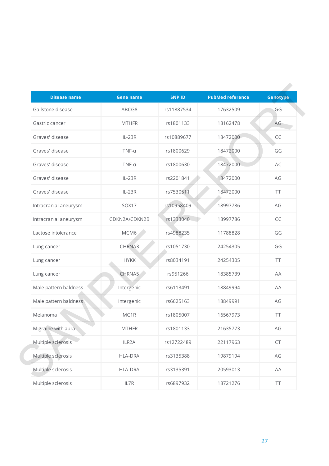| <b>Disease name</b>   | <b>Gene name</b>   | <b>SNP ID</b> | <b>PubMed reference</b> | Genotype  |
|-----------------------|--------------------|---------------|-------------------------|-----------|
| Gallstone disease     | ABCG8              | rs11887534    | 17632509                | GG        |
| Gastric cancer        | <b>MTHFR</b>       | rs1801133     | 18162478                | AG        |
| Graves' disease       | $IL-23R$           | rs10889677    | 18472000                | CC        |
| Graves' disease       | $TNF-\alpha$       | rs1800629     | 18472000                | GG        |
| Graves' disease       | $TNF-\alpha$       | rs1800630     | 18472000                | AC        |
| Graves' disease       | $IL-23R$           | rs2201841     | 18472000                | AG        |
| Graves' disease       | $IL-23R$           | rs7530511     | 18472000                | <b>TT</b> |
| Intracranial aneurysm | SOX17              | rs10958409    | 18997786                | AG        |
| Intracranial aneurysm | CDKN2A/CDKN2B      | rs1333040     | 18997786                | CC        |
| Lactose intolerance   | MCM6               | rs4988235     | 11788828                | GG        |
| Lung cancer           | CHRNA3             | rs1051730     | 24254305                | GG        |
| Lung cancer           | <b>HYKK</b>        | rs8034191     | 24254305                | <b>TT</b> |
| Lung cancer           | CHRNA5             | rs951266      | 18385739                | AA        |
| Male pattern baldness | Intergenic         | rs6113491     | 18849994                | AA        |
| Male pattern baldness | Intergenic         | rs6625163     | 18849991                | AG        |
| Melanoma              | MC1R               | rs1805007     | 16567973                | <b>TT</b> |
| Migraine with aura    | <b>MTHFR</b>       | rs1801133     | 21635773                | AG        |
| Multiple sclerosis    | ILR <sub>2</sub> A | rs12722489    | 22117963                | CT        |
| Multiple sclerosis    | <b>HLA-DRA</b>     | rs3135388     | 19879194                | $AG$      |
| Multiple sclerosis    | <b>HLA-DRA</b>     | rs3135391     | 20593013                | AA        |
| Multiple sclerosis    | IL7R               | rs6897932     | 18721276                | TT        |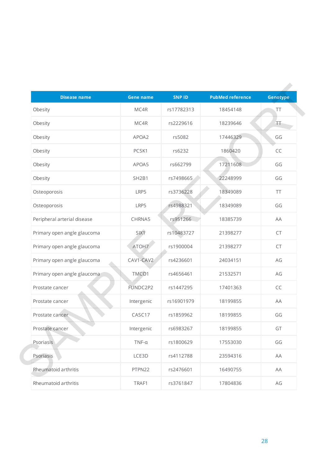| <b>Disease name</b>         | <b>Gene name</b>               | <b>SNPID</b> | <b>PubMed reference</b> | Genotype  |
|-----------------------------|--------------------------------|--------------|-------------------------|-----------|
| Obesity                     | MC4R                           | rs17782313   | 18454148                | TT        |
| Obesity                     | MC4R                           | rs2229616    | 18239646                | TT        |
| Obesity                     | APOA2                          | rs5082       | 17446329                | GG        |
| Obesity                     | PCSK1                          | rs6232       | 1860420                 | CC        |
| Obesity                     | APOA5                          | rs662799     | 17211608                | GG        |
| Obesity                     | SH <sub>2</sub> B <sub>1</sub> | rs7498665    | 22248999                | GG        |
| Osteoporosis                | LRP5                           | rs3736228    | 18349089                | <b>TT</b> |
| Osteoporosis                | LRP5                           | rs4988321    | 18349089                | GG        |
| Peripheral arterial disease | CHRNA5                         | rs951266     | 18385739                | AA        |
| Primary open angle glaucoma | SIX1                           | rs10483727   | 21398277                | CT        |
| Primary open angle glaucoma | ATOH7                          | rs1900004    | 21398277                | CT        |
| Primary open angle glaucoma | CAV1-CAV2                      | rs4236601    | 24034151                | AG        |
| Primary open angle glaucoma | TMCO1                          | rs4656461    | 21532571                | AG        |
| Prostate cancer             | FUNDC2P2                       | rs1447295    | 17401363                | CC        |
| Prostate cancer             | Intergenic                     | rs16901979   | 18199855                | AA        |
| Prostate cancer             | CASC17                         | rs1859962    | 18199855                | GG        |
| Prostate cancer             | Intergenic                     | rs6983267    | 18199855                | GT        |
| Psoriasis                   | $TNF-\alpha$                   | rs1800629    | 17553030                | GG        |
| Psoriasis                   | LCE3D                          | rs4112788    | 23594316                | AA        |
| Rheumatoid arthritis        | PTPN22                         | rs2476601    | 16490755                | AA        |
| Rheumatoid arthritis        | TRAF1                          | rs3761847    | 17804836                | AG        |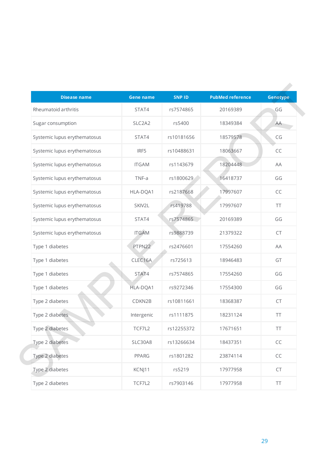| <b>Disease name</b>          | <b>Gene name</b> | <b>SNP ID</b> | <b>PubMed reference</b> | Genotype      |
|------------------------------|------------------|---------------|-------------------------|---------------|
| Rheumatoid arthritis         | STAT4            | rs7574865     | 20169389                | GG            |
| Sugar consumption            | SLC2A2           | rs5400        | 18349384                | AA            |
| Systemic lupus erythematosus | STAT4            | rs10181656    | 18579578                | CG            |
| Systemic lupus erythematosus | IRF5             | rs10488631    | 18063667                | CC            |
| Systemic lupus erythematosus | <b>ITGAM</b>     | rs1143679     | 18204448                | AA            |
| Systemic lupus erythematosus | TNF-a            | rs1800629     | 16418737                | GG            |
| Systemic lupus erythematosus | HLA-DQA1         | rs2187668     | 17997607                | CC            |
| Systemic lupus erythematosus | SKIV2L           | rs419788      | 17997607                | <b>TT</b>     |
| Systemic lupus erythematosus | STAT4            | rs7574865     | 20169389                | GG            |
| Systemic lupus erythematosus | <b>ITGAM</b>     | rs9888739     | 21379322                | CT            |
| Type 1 diabetes              | PTPN22           | rs2476601     | 17554260                | AA            |
| Type 1 diabetes              | CLEC16A          | rs725613      | 18946483                | GT            |
| Type 1 diabetes              | STAT4            | rs7574865     | 17554260                | GG            |
| Type 1 diabetes              | HLA-DQA1         | rs9272346     | 17554300                | GG            |
| Type 2 diabetes              | CDKN2B           | rs10811661    | 18368387                | CT            |
| Type 2 diabetes              | Intergenic       | rs1111875     | 18231124                | <b>TT</b>     |
| Type 2 diabetes              | TCF7L2           | rs12255372    | 17671651                | <b>TT</b>     |
| Type 2 diabetes              | SLC30A8          | rs13266634    | 18437351                | $\mathsf{CC}$ |
| Type 2 diabetes              | <b>PPARG</b>     | rs1801282     | 23874114                | $\mathsf{CC}$ |
| Type 2 diabetes              | KCNJ11           | rs5219        | 17977958                | CT            |
| Type 2 diabetes              | TCF7L2           | rs7903146     | 17977958                | TT            |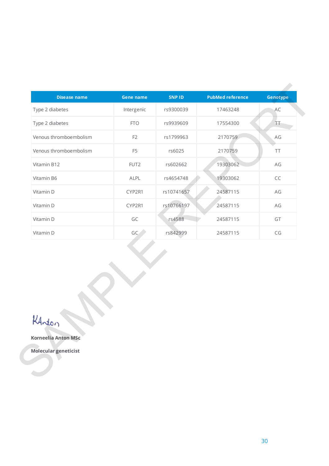|                            | <b>Gene name</b> | <b>SNP ID</b> | <b>PubMed reference</b> | Genotype                     |
|----------------------------|------------------|---------------|-------------------------|------------------------------|
| Type 2 diabetes            | Intergenic       | rs9300039     | 17463248                | AC                           |
| Type 2 diabetes            | <b>FTO</b>       | rs9939609     | 17554300                | $\bar{\mathsf{T}}\mathsf{T}$ |
| Venous thromboembolism     | F <sub>2</sub>   | rs1799963     | 2170759                 | $AG$                         |
| Venous thromboembolism     | F <sub>5</sub>   | rs6025        | 2170759                 | TT                           |
| Vitamin B12                | FUT2             | rs602662      | 19303062                | AG                           |
| Vitamin B6                 | ALPL             | rs4654748     | 19303062                | $\mathsf{CC}$                |
| Vitamin D                  | CYP2R1           | rs10741657    | 24587115                | AG                           |
| Vitamin D                  | CYP2R1           | rs10766197    | 24587115                | $\mathsf{AG}$                |
| Vitamin D                  | GC               | rs4588        | 24587115                | GT                           |
| Vitamin D                  | GC               | rs842999      | 24587115                | $\mathsf{CG}$                |
|                            |                  |               |                         |                              |
| LAnton                     |                  |               |                         |                              |
| <b>Korneelia Anton MSc</b> |                  |               |                         |                              |

## **Korneelia Anton MSc**